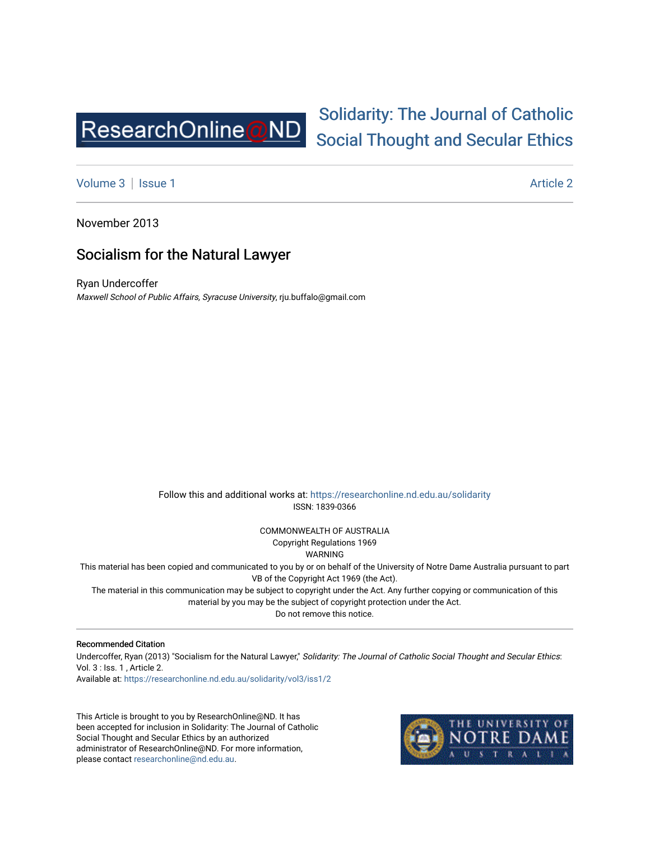

# [Solidarity: The Journal of Catholic](https://researchonline.nd.edu.au/solidarity)  [Social Thought and Secular Ethics](https://researchonline.nd.edu.au/solidarity)

[Volume 3](https://researchonline.nd.edu.au/solidarity/vol3) | [Issue 1](https://researchonline.nd.edu.au/solidarity/vol3/iss1) Article 2

November 2013

# Socialism for the Natural Lawyer

Ryan Undercoffer Maxwell School of Public Affairs, Syracuse University, rju.buffalo@gmail.com

> Follow this and additional works at: [https://researchonline.nd.edu.au/solidarity](https://researchonline.nd.edu.au/solidarity?utm_source=researchonline.nd.edu.au%2Fsolidarity%2Fvol3%2Fiss1%2F2&utm_medium=PDF&utm_campaign=PDFCoverPages)  ISSN: 1839-0366

> > COMMONWEALTH OF AUSTRALIA Copyright Regulations 1969

WARNING

This material has been copied and communicated to you by or on behalf of the University of Notre Dame Australia pursuant to part VB of the Copyright Act 1969 (the Act).

The material in this communication may be subject to copyright under the Act. Any further copying or communication of this material by you may be the subject of copyright protection under the Act.

Do not remove this notice.

#### Recommended Citation

Undercoffer, Ryan (2013) "Socialism for the Natural Lawyer," Solidarity: The Journal of Catholic Social Thought and Secular Ethics: Vol. 3 : Iss. 1 , Article 2.

Available at: [https://researchonline.nd.edu.au/solidarity/vol3/iss1/2](https://researchonline.nd.edu.au/solidarity/vol3/iss1/2?utm_source=researchonline.nd.edu.au%2Fsolidarity%2Fvol3%2Fiss1%2F2&utm_medium=PDF&utm_campaign=PDFCoverPages) 

This Article is brought to you by ResearchOnline@ND. It has been accepted for inclusion in Solidarity: The Journal of Catholic Social Thought and Secular Ethics by an authorized administrator of ResearchOnline@ND. For more information, please contact [researchonline@nd.edu.au.](mailto:researchonline@nd.edu.au)

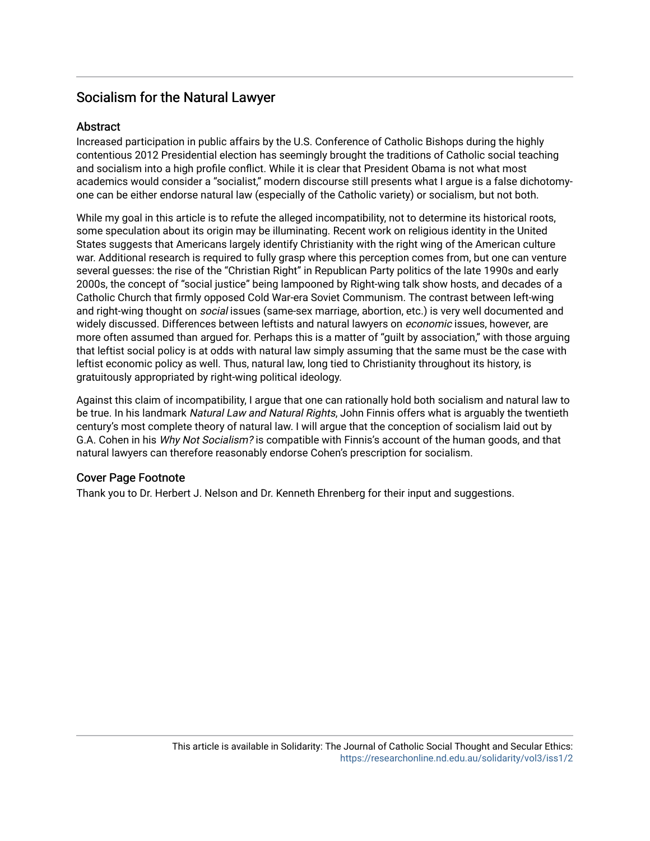# Socialism for the Natural Lawyer

#### **Abstract**

Increased participation in public affairs by the U.S. Conference of Catholic Bishops during the highly contentious 2012 Presidential election has seemingly brought the traditions of Catholic social teaching and socialism into a high profile conflict. While it is clear that President Obama is not what most academics would consider a "socialist," modern discourse still presents what I argue is a false dichotomyone can be either endorse natural law (especially of the Catholic variety) or socialism, but not both.

While my goal in this article is to refute the alleged incompatibility, not to determine its historical roots, some speculation about its origin may be illuminating. Recent work on religious identity in the United States suggests that Americans largely identify Christianity with the right wing of the American culture war. Additional research is required to fully grasp where this perception comes from, but one can venture several guesses: the rise of the "Christian Right" in Republican Party politics of the late 1990s and early 2000s, the concept of "social justice" being lampooned by Right-wing talk show hosts, and decades of a Catholic Church that firmly opposed Cold War-era Soviet Communism. The contrast between left-wing and right-wing thought on *social* issues (same-sex marriage, abortion, etc.) is very well documented and widely discussed. Differences between leftists and natural lawyers on economic issues, however, are more often assumed than argued for. Perhaps this is a matter of "guilt by association," with those arguing that leftist social policy is at odds with natural law simply assuming that the same must be the case with leftist economic policy as well. Thus, natural law, long tied to Christianity throughout its history, is gratuitously appropriated by right-wing political ideology.

Against this claim of incompatibility, I argue that one can rationally hold both socialism and natural law to be true. In his landmark Natural Law and Natural Rights, John Finnis offers what is arguably the twentieth century's most complete theory of natural law. I will argue that the conception of socialism laid out by G.A. Cohen in his Why Not Socialism? is compatible with Finnis's account of the human goods, and that natural lawyers can therefore reasonably endorse Cohen's prescription for socialism.

#### Cover Page Footnote

Thank you to Dr. Herbert J. Nelson and Dr. Kenneth Ehrenberg for their input and suggestions.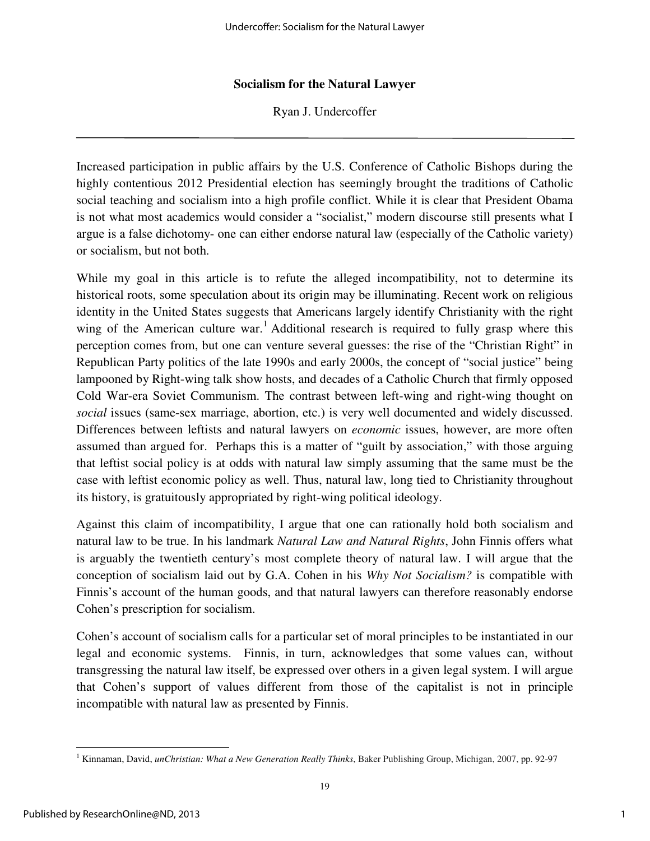#### **Socialism for the Natural Lawyer**

Ryan J. Undercoffer

Increased participation in public affairs by the U.S. Conference of Catholic Bishops during the highly contentious 2012 Presidential election has seemingly brought the traditions of Catholic social teaching and socialism into a high profile conflict. While it is clear that President Obama is not what most academics would consider a "socialist," modern discourse still presents what I argue is a false dichotomy- one can either endorse natural law (especially of the Catholic variety) or socialism, but not both.

While my goal in this article is to refute the alleged incompatibility, not to determine its historical roots, some speculation about its origin may be illuminating. Recent work on religious identity in the United States suggests that Americans largely identify Christianity with the right wing of the American culture war.<sup>1</sup> Additional research is required to fully grasp where this perception comes from, but one can venture several guesses: the rise of the "Christian Right" in Republican Party politics of the late 1990s and early 2000s, the concept of "social justice" being lampooned by Right-wing talk show hosts, and decades of a Catholic Church that firmly opposed Cold War-era Soviet Communism. The contrast between left-wing and right-wing thought on *social* issues (same-sex marriage, abortion, etc.) is very well documented and widely discussed. Differences between leftists and natural lawyers on *economic* issues, however, are more often assumed than argued for. Perhaps this is a matter of "guilt by association," with those arguing that leftist social policy is at odds with natural law simply assuming that the same must be the case with leftist economic policy as well. Thus, natural law, long tied to Christianity throughout its history, is gratuitously appropriated by right-wing political ideology.

Against this claim of incompatibility, I argue that one can rationally hold both socialism and natural law to be true. In his landmark *Natural Law and Natural Rights*, John Finnis offers what is arguably the twentieth century's most complete theory of natural law. I will argue that the conception of socialism laid out by G.A. Cohen in his *Why Not Socialism?* is compatible with Finnis's account of the human goods, and that natural lawyers can therefore reasonably endorse Cohen's prescription for socialism.

Cohen's account of socialism calls for a particular set of moral principles to be instantiated in our legal and economic systems. Finnis, in turn, acknowledges that some values can, without transgressing the natural law itself, be expressed over others in a given legal system. I will argue that Cohen's support of values different from those of the capitalist is not in principle incompatible with natural law as presented by Finnis.

<sup>1</sup> Kinnaman, David, *unChristian: What a New Generation Really Thinks*, Baker Publishing Group, Michigan, 2007, pp. 92-97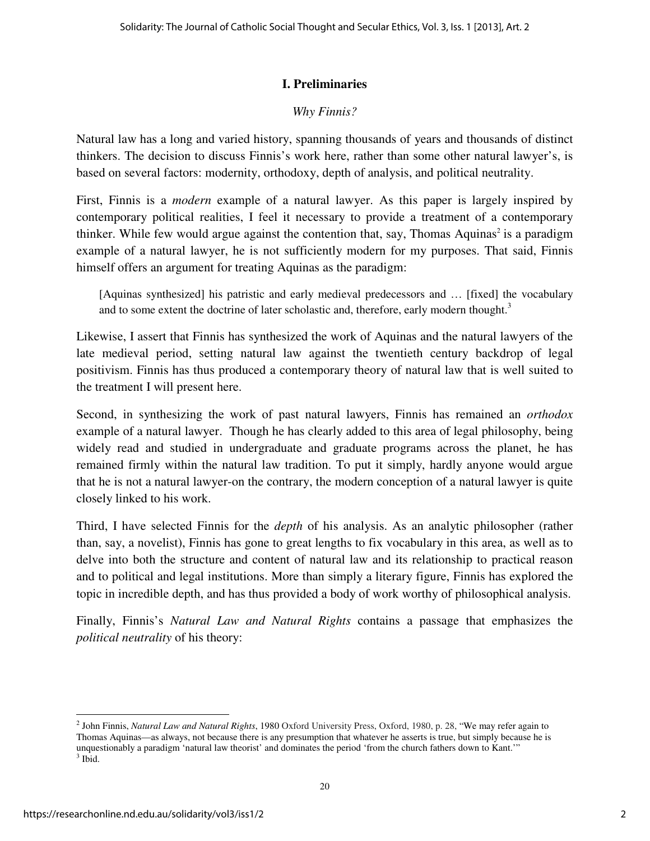### **I. Preliminaries**

# *Why Finnis?*

Natural law has a long and varied history, spanning thousands of years and thousands of distinct thinkers. The decision to discuss Finnis's work here, rather than some other natural lawyer's, is based on several factors: modernity, orthodoxy, depth of analysis, and political neutrality.

First, Finnis is a *modern* example of a natural lawyer. As this paper is largely inspired by contemporary political realities, I feel it necessary to provide a treatment of a contemporary thinker. While few would argue against the contention that, say, Thomas Aquinas<sup>2</sup> is a paradigm example of a natural lawyer, he is not sufficiently modern for my purposes. That said, Finnis himself offers an argument for treating Aquinas as the paradigm:

[Aquinas synthesized] his patristic and early medieval predecessors and … [fixed] the vocabulary and to some extent the doctrine of later scholastic and, therefore, early modern thought.<sup>3</sup>

Likewise, I assert that Finnis has synthesized the work of Aquinas and the natural lawyers of the late medieval period, setting natural law against the twentieth century backdrop of legal positivism. Finnis has thus produced a contemporary theory of natural law that is well suited to the treatment I will present here.

Second, in synthesizing the work of past natural lawyers, Finnis has remained an *orthodox* example of a natural lawyer. Though he has clearly added to this area of legal philosophy, being widely read and studied in undergraduate and graduate programs across the planet, he has remained firmly within the natural law tradition. To put it simply, hardly anyone would argue that he is not a natural lawyer-on the contrary, the modern conception of a natural lawyer is quite closely linked to his work.

Third, I have selected Finnis for the *depth* of his analysis. As an analytic philosopher (rather than, say, a novelist), Finnis has gone to great lengths to fix vocabulary in this area, as well as to delve into both the structure and content of natural law and its relationship to practical reason and to political and legal institutions. More than simply a literary figure, Finnis has explored the topic in incredible depth, and has thus provided a body of work worthy of philosophical analysis.

Finally, Finnis's *Natural Law and Natural Rights* contains a passage that emphasizes the *political neutrality* of his theory:

<sup>2</sup> John Finnis, *Natural Law and Natural Rights*, 1980 Oxford University Press, Oxford, 1980, p. 28, "We may refer again to Thomas Aquinas—as always, not because there is any presumption that whatever he asserts is true, but simply because he is unquestionably a paradigm 'natural law theorist' and dominates the period 'from the church fathers down to Kant.'"  $3$  Ibid.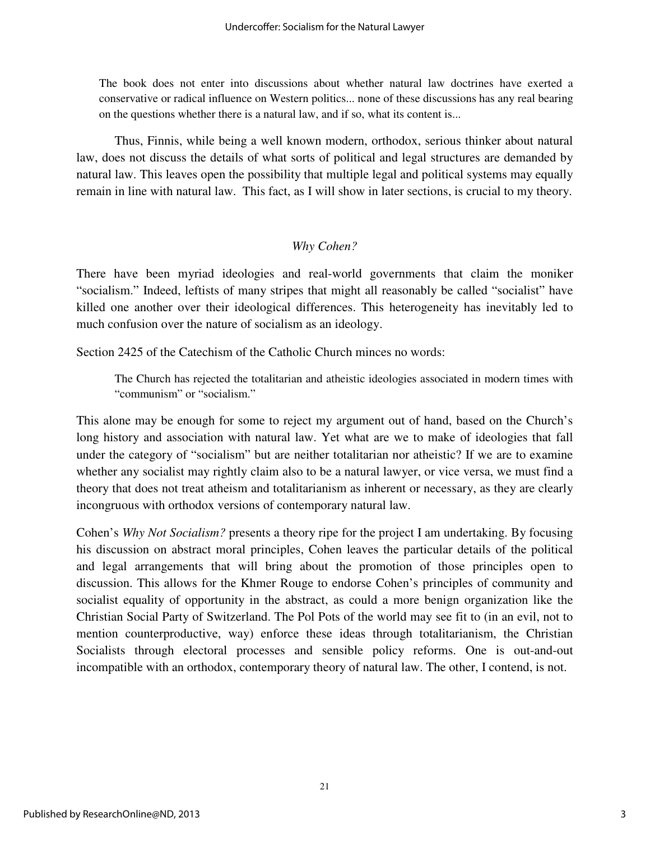The book does not enter into discussions about whether natural law doctrines have exerted a conservative or radical influence on Western politics... none of these discussions has any real bearing on the questions whether there is a natural law, and if so, what its content is...

Thus, Finnis, while being a well known modern, orthodox, serious thinker about natural law, does not discuss the details of what sorts of political and legal structures are demanded by natural law. This leaves open the possibility that multiple legal and political systems may equally remain in line with natural law. This fact, as I will show in later sections, is crucial to my theory.

#### *Why Cohen?*

There have been myriad ideologies and real-world governments that claim the moniker "socialism." Indeed, leftists of many stripes that might all reasonably be called "socialist" have killed one another over their ideological differences. This heterogeneity has inevitably led to much confusion over the nature of socialism as an ideology.

Section 2425 of the Catechism of the Catholic Church minces no words:

The Church has rejected the totalitarian and atheistic ideologies associated in modern times with "communism" or "socialism."

This alone may be enough for some to reject my argument out of hand, based on the Church's long history and association with natural law. Yet what are we to make of ideologies that fall under the category of "socialism" but are neither totalitarian nor atheistic? If we are to examine whether any socialist may rightly claim also to be a natural lawyer, or vice versa, we must find a theory that does not treat atheism and totalitarianism as inherent or necessary, as they are clearly incongruous with orthodox versions of contemporary natural law.

Cohen's *Why Not Socialism?* presents a theory ripe for the project I am undertaking. By focusing his discussion on abstract moral principles, Cohen leaves the particular details of the political and legal arrangements that will bring about the promotion of those principles open to discussion. This allows for the Khmer Rouge to endorse Cohen's principles of community and socialist equality of opportunity in the abstract, as could a more benign organization like the Christian Social Party of Switzerland. The Pol Pots of the world may see fit to (in an evil, not to mention counterproductive, way) enforce these ideas through totalitarianism, the Christian Socialists through electoral processes and sensible policy reforms. One is out-and-out incompatible with an orthodox, contemporary theory of natural law. The other, I contend, is not.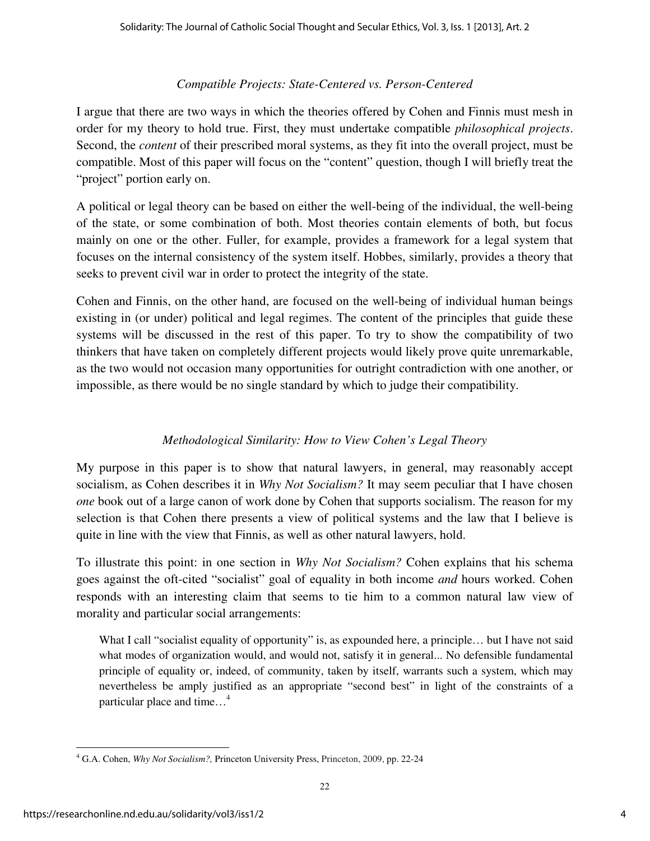#### *Compatible Projects: State-Centered vs. Person-Centered*

I argue that there are two ways in which the theories offered by Cohen and Finnis must mesh in order for my theory to hold true. First, they must undertake compatible *philosophical projects*. Second, the *content* of their prescribed moral systems, as they fit into the overall project, must be compatible. Most of this paper will focus on the "content" question, though I will briefly treat the "project" portion early on.

A political or legal theory can be based on either the well-being of the individual, the well-being of the state, or some combination of both. Most theories contain elements of both, but focus mainly on one or the other. Fuller, for example, provides a framework for a legal system that focuses on the internal consistency of the system itself. Hobbes, similarly, provides a theory that seeks to prevent civil war in order to protect the integrity of the state.

Cohen and Finnis, on the other hand, are focused on the well-being of individual human beings existing in (or under) political and legal regimes. The content of the principles that guide these systems will be discussed in the rest of this paper. To try to show the compatibility of two thinkers that have taken on completely different projects would likely prove quite unremarkable, as the two would not occasion many opportunities for outright contradiction with one another, or impossible, as there would be no single standard by which to judge their compatibility.

# *Methodological Similarity: How to View Cohen's Legal Theory*

My purpose in this paper is to show that natural lawyers, in general, may reasonably accept socialism, as Cohen describes it in *Why Not Socialism?* It may seem peculiar that I have chosen *one* book out of a large canon of work done by Cohen that supports socialism. The reason for my selection is that Cohen there presents a view of political systems and the law that I believe is quite in line with the view that Finnis, as well as other natural lawyers, hold.

To illustrate this point: in one section in *Why Not Socialism?* Cohen explains that his schema goes against the oft-cited "socialist" goal of equality in both income *and* hours worked. Cohen responds with an interesting claim that seems to tie him to a common natural law view of morality and particular social arrangements:

What I call "socialist equality of opportunity" is, as expounded here, a principle... but I have not said what modes of organization would, and would not, satisfy it in general... No defensible fundamental principle of equality or, indeed, of community, taken by itself, warrants such a system, which may nevertheless be amply justified as an appropriate "second best" in light of the constraints of a particular place and time...<sup>4</sup>

<sup>4</sup> G.A. Cohen, *Why Not Socialism?,* Princeton University Press, Princeton, 2009, pp. 22-24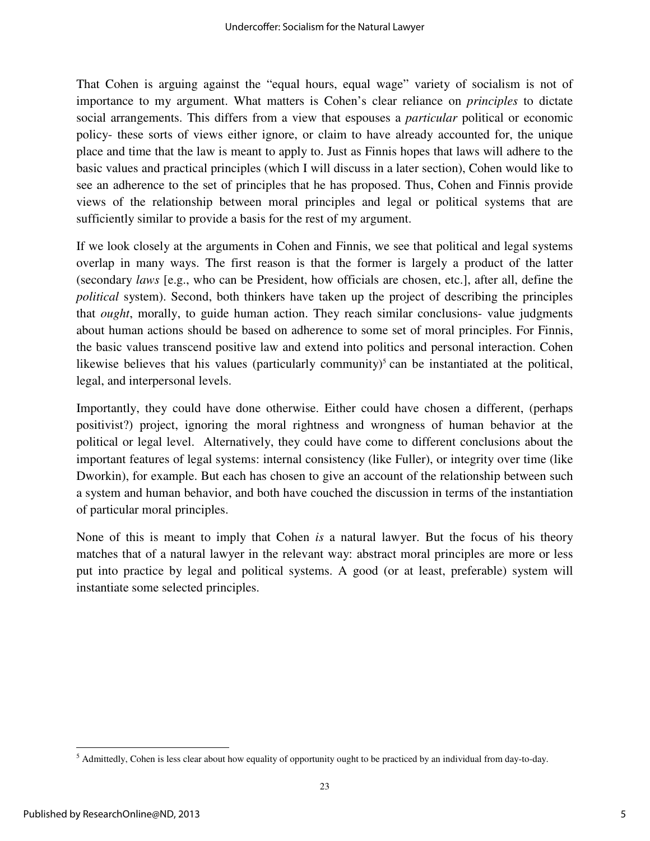That Cohen is arguing against the "equal hours, equal wage" variety of socialism is not of importance to my argument. What matters is Cohen's clear reliance on *principles* to dictate social arrangements. This differs from a view that espouses a *particular* political or economic policy- these sorts of views either ignore, or claim to have already accounted for, the unique place and time that the law is meant to apply to. Just as Finnis hopes that laws will adhere to the basic values and practical principles (which I will discuss in a later section), Cohen would like to see an adherence to the set of principles that he has proposed. Thus, Cohen and Finnis provide views of the relationship between moral principles and legal or political systems that are sufficiently similar to provide a basis for the rest of my argument.

If we look closely at the arguments in Cohen and Finnis, we see that political and legal systems overlap in many ways. The first reason is that the former is largely a product of the latter (secondary *laws* [e.g., who can be President, how officials are chosen, etc.], after all, define the *political* system). Second, both thinkers have taken up the project of describing the principles that *ought*, morally, to guide human action. They reach similar conclusions- value judgments about human actions should be based on adherence to some set of moral principles. For Finnis, the basic values transcend positive law and extend into politics and personal interaction. Cohen likewise believes that his values (particularly community)<sup>5</sup> can be instantiated at the political, legal, and interpersonal levels.

Importantly, they could have done otherwise. Either could have chosen a different, (perhaps positivist?) project, ignoring the moral rightness and wrongness of human behavior at the political or legal level. Alternatively, they could have come to different conclusions about the important features of legal systems: internal consistency (like Fuller), or integrity over time (like Dworkin), for example. But each has chosen to give an account of the relationship between such a system and human behavior, and both have couched the discussion in terms of the instantiation of particular moral principles.

None of this is meant to imply that Cohen *is* a natural lawyer. But the focus of his theory matches that of a natural lawyer in the relevant way: abstract moral principles are more or less put into practice by legal and political systems. A good (or at least, preferable) system will instantiate some selected principles.

 $<sup>5</sup>$  Admittedly, Cohen is less clear about how equality of opportunity ought to be practiced by an individual from day-to-day.</sup>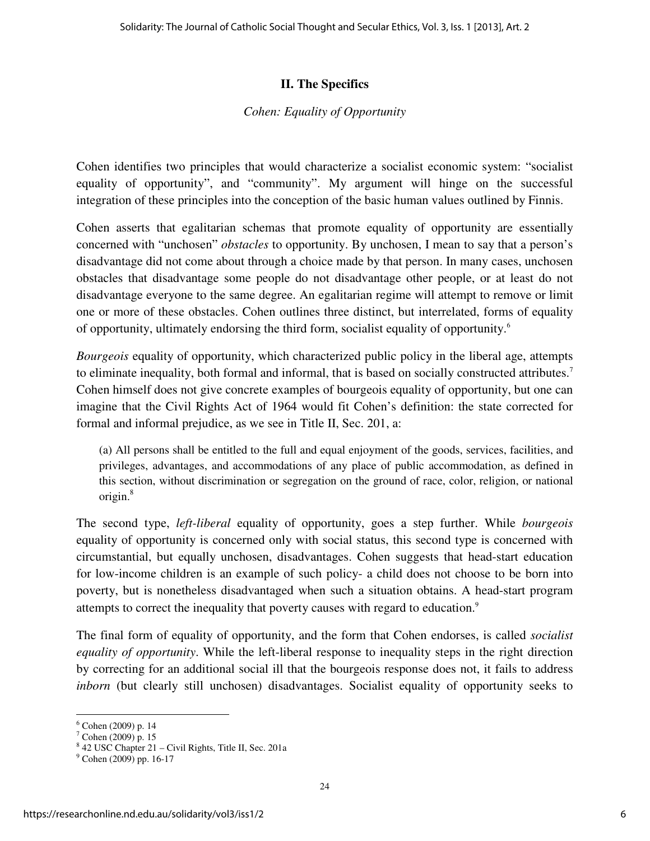#### **II. The Specifics**

#### *Cohen: Equality of Opportunity*

Cohen identifies two principles that would characterize a socialist economic system: "socialist equality of opportunity", and "community". My argument will hinge on the successful integration of these principles into the conception of the basic human values outlined by Finnis.

Cohen asserts that egalitarian schemas that promote equality of opportunity are essentially concerned with "unchosen" *obstacles* to opportunity. By unchosen, I mean to say that a person's disadvantage did not come about through a choice made by that person. In many cases, unchosen obstacles that disadvantage some people do not disadvantage other people, or at least do not disadvantage everyone to the same degree. An egalitarian regime will attempt to remove or limit one or more of these obstacles. Cohen outlines three distinct, but interrelated, forms of equality of opportunity, ultimately endorsing the third form, socialist equality of opportunity.<sup>6</sup>

*Bourgeois* equality of opportunity, which characterized public policy in the liberal age, attempts to eliminate inequality, both formal and informal, that is based on socially constructed attributes.<sup>7</sup> Cohen himself does not give concrete examples of bourgeois equality of opportunity, but one can imagine that the Civil Rights Act of 1964 would fit Cohen's definition: the state corrected for formal and informal prejudice, as we see in Title II, Sec. 201, a:

(a) All persons shall be entitled to the full and equal enjoyment of the goods, services, facilities, and privileges, advantages, and accommodations of any place of public accommodation, as defined in this section, without discrimination or segregation on the ground of race, color, religion, or national origin.<sup>8</sup>

The second type, *left-liberal* equality of opportunity, goes a step further. While *bourgeois* equality of opportunity is concerned only with social status, this second type is concerned with circumstantial, but equally unchosen, disadvantages. Cohen suggests that head-start education for low-income children is an example of such policy- a child does not choose to be born into poverty, but is nonetheless disadvantaged when such a situation obtains. A head-start program attempts to correct the inequality that poverty causes with regard to education.<sup>9</sup>

The final form of equality of opportunity, and the form that Cohen endorses, is called *socialist equality of opportunity*. While the left-liberal response to inequality steps in the right direction by correcting for an additional social ill that the bourgeois response does not, it fails to address *inborn* (but clearly still unchosen) disadvantages. Socialist equality of opportunity seeks to

<sup>6</sup> Cohen (2009) p. 14

<sup>7</sup> Cohen (2009) p. 15

<sup>8</sup> 42 USC Chapter 21 – Civil Rights, Title II, Sec. 201a

<sup>&</sup>lt;sup>9</sup> Cohen (2009) pp. 16-17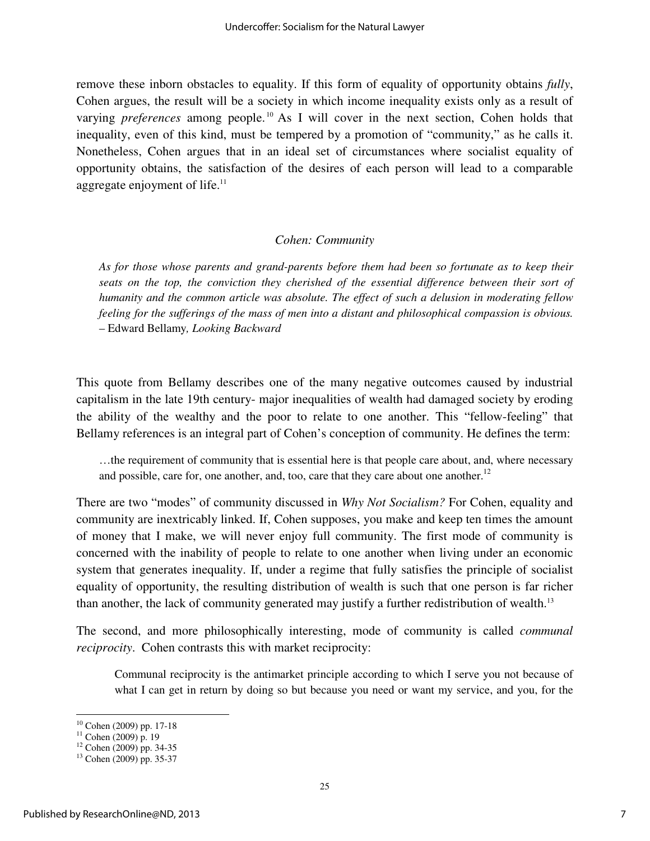remove these inborn obstacles to equality. If this form of equality of opportunity obtains *fully*, Cohen argues, the result will be a society in which income inequality exists only as a result of varying *preferences* among people.<sup>10</sup> As I will cover in the next section, Cohen holds that inequality, even of this kind, must be tempered by a promotion of "community," as he calls it. Nonetheless, Cohen argues that in an ideal set of circumstances where socialist equality of opportunity obtains, the satisfaction of the desires of each person will lead to a comparable aggregate enjoyment of life.<sup>11</sup>

#### *Cohen: Community*

*As for those whose parents and grand-parents before them had been so fortunate as to keep their seats on the top, the conviction they cherished of the essential difference between their sort of humanity and the common article was absolute. The effect of such a delusion in moderating fellow feeling for the sufferings of the mass of men into a distant and philosophical compassion is obvious.*  – Edward Bellamy*, Looking Backward*

This quote from Bellamy describes one of the many negative outcomes caused by industrial capitalism in the late 19th century- major inequalities of wealth had damaged society by eroding the ability of the wealthy and the poor to relate to one another. This "fellow-feeling" that Bellamy references is an integral part of Cohen's conception of community. He defines the term:

…the requirement of community that is essential here is that people care about, and, where necessary and possible, care for, one another, and, too, care that they care about one another.<sup>12</sup>

There are two "modes" of community discussed in *Why Not Socialism?* For Cohen, equality and community are inextricably linked. If, Cohen supposes, you make and keep ten times the amount of money that I make, we will never enjoy full community. The first mode of community is concerned with the inability of people to relate to one another when living under an economic system that generates inequality. If, under a regime that fully satisfies the principle of socialist equality of opportunity, the resulting distribution of wealth is such that one person is far richer than another, the lack of community generated may justify a further redistribution of wealth.<sup>13</sup>

The second, and more philosophically interesting, mode of community is called *communal reciprocity*. Cohen contrasts this with market reciprocity:

Communal reciprocity is the antimarket principle according to which I serve you not because of what I can get in return by doing so but because you need or want my service, and you, for the

<sup>10</sup> Cohen (2009) pp. 17-18

 $11$  Cohen (2009) p. 19

 $12$  Cohen (2009) pp. 34-35

<sup>13</sup> Cohen (2009) pp. 35-37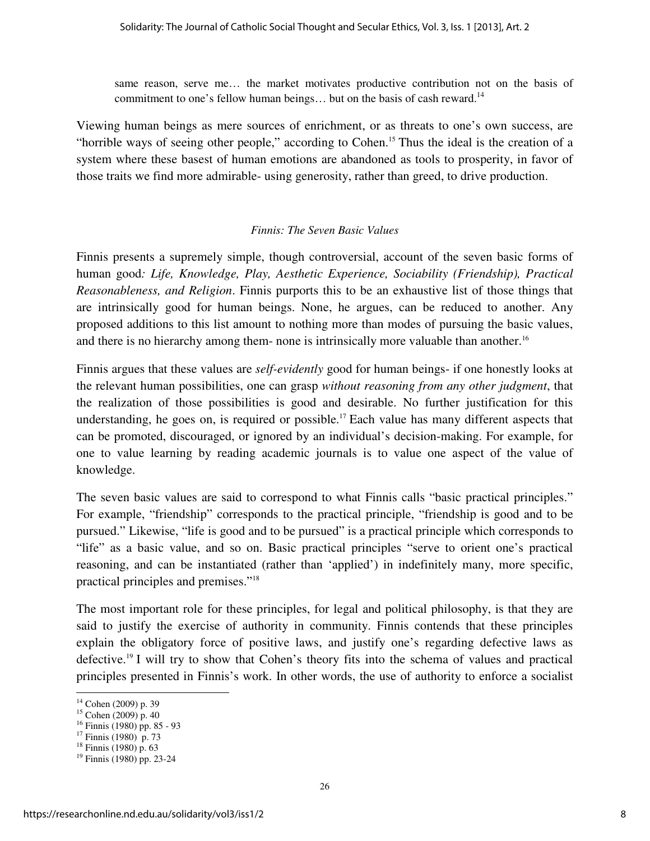same reason, serve me… the market motivates productive contribution not on the basis of commitment to one's fellow human beings... but on the basis of cash reward.<sup>14</sup>

Viewing human beings as mere sources of enrichment, or as threats to one's own success, are "horrible ways of seeing other people," according to Cohen.<sup>15</sup> Thus the ideal is the creation of a system where these basest of human emotions are abandoned as tools to prosperity, in favor of those traits we find more admirable- using generosity, rather than greed, to drive production.

#### *Finnis: The Seven Basic Values*

Finnis presents a supremely simple, though controversial, account of the seven basic forms of human good*: Life, Knowledge, Play, Aesthetic Experience, Sociability (Friendship), Practical Reasonableness, and Religion*. Finnis purports this to be an exhaustive list of those things that are intrinsically good for human beings. None, he argues, can be reduced to another. Any proposed additions to this list amount to nothing more than modes of pursuing the basic values, and there is no hierarchy among them- none is intrinsically more valuable than another.<sup>16</sup>

Finnis argues that these values are *self-evidently* good for human beings- if one honestly looks at the relevant human possibilities, one can grasp *without reasoning from any other judgment*, that the realization of those possibilities is good and desirable. No further justification for this understanding, he goes on, is required or possible.<sup>17</sup> Each value has many different aspects that can be promoted, discouraged, or ignored by an individual's decision-making. For example, for one to value learning by reading academic journals is to value one aspect of the value of knowledge.

The seven basic values are said to correspond to what Finnis calls "basic practical principles." For example, "friendship" corresponds to the practical principle, "friendship is good and to be pursued." Likewise, "life is good and to be pursued" is a practical principle which corresponds to "life" as a basic value, and so on. Basic practical principles "serve to orient one's practical reasoning, and can be instantiated (rather than 'applied') in indefinitely many, more specific, practical principles and premises."<sup>18</sup>

The most important role for these principles, for legal and political philosophy, is that they are said to justify the exercise of authority in community. Finnis contends that these principles explain the obligatory force of positive laws, and justify one's regarding defective laws as defective.<sup>19</sup> I will try to show that Cohen's theory fits into the schema of values and practical principles presented in Finnis's work. In other words, the use of authority to enforce a socialist

<sup>14</sup> Cohen (2009) p. 39

<sup>15</sup> Cohen (2009) p. 40

<sup>16</sup> Finnis (1980) pp. 85 - 93

 $17$  Finnis (1980) p. 73

 $18$  Finnis (1980) p. 63

<sup>19</sup> Finnis (1980) pp. 23-24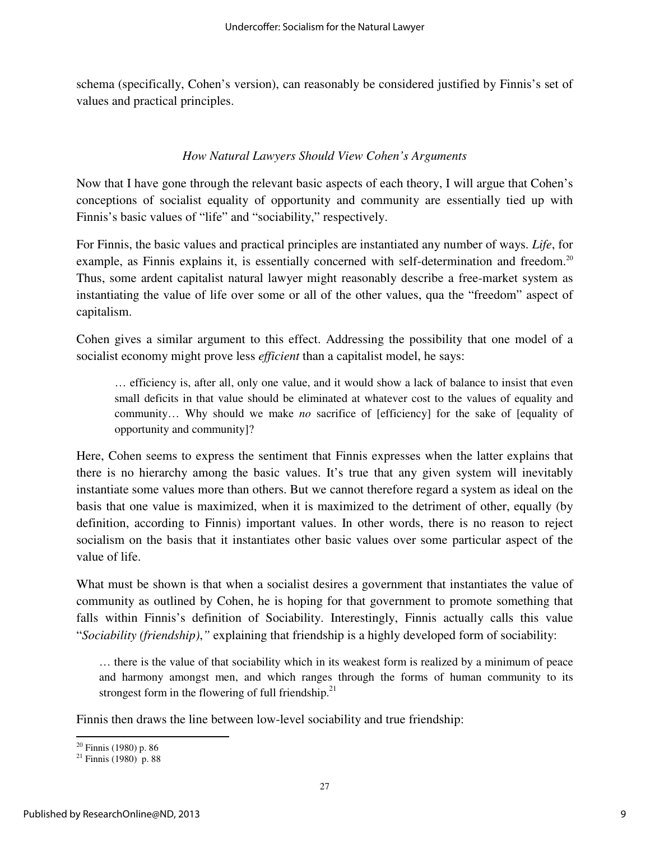schema (specifically, Cohen's version), can reasonably be considered justified by Finnis's set of values and practical principles.

#### *How Natural Lawyers Should View Cohen's Arguments*

Now that I have gone through the relevant basic aspects of each theory, I will argue that Cohen's conceptions of socialist equality of opportunity and community are essentially tied up with Finnis's basic values of "life" and "sociability," respectively.

For Finnis, the basic values and practical principles are instantiated any number of ways. *Life*, for example, as Finnis explains it, is essentially concerned with self-determination and freedom.<sup>20</sup> Thus, some ardent capitalist natural lawyer might reasonably describe a free-market system as instantiating the value of life over some or all of the other values, qua the "freedom" aspect of capitalism.

Cohen gives a similar argument to this effect. Addressing the possibility that one model of a socialist economy might prove less *efficient* than a capitalist model, he says:

… efficiency is, after all, only one value, and it would show a lack of balance to insist that even small deficits in that value should be eliminated at whatever cost to the values of equality and community… Why should we make *no* sacrifice of [efficiency] for the sake of [equality of opportunity and community]?

Here, Cohen seems to express the sentiment that Finnis expresses when the latter explains that there is no hierarchy among the basic values. It's true that any given system will inevitably instantiate some values more than others. But we cannot therefore regard a system as ideal on the basis that one value is maximized, when it is maximized to the detriment of other, equally (by definition, according to Finnis) important values. In other words, there is no reason to reject socialism on the basis that it instantiates other basic values over some particular aspect of the value of life.

What must be shown is that when a socialist desires a government that instantiates the value of community as outlined by Cohen, he is hoping for that government to promote something that falls within Finnis's definition of Sociability. Interestingly, Finnis actually calls this value "*Sociability (friendship)*,*"* explaining that friendship is a highly developed form of sociability:

… there is the value of that sociability which in its weakest form is realized by a minimum of peace and harmony amongst men, and which ranges through the forms of human community to its strongest form in the flowering of full friendship. $21$ 

Finnis then draws the line between low-level sociability and true friendship:

l

 $20$  Finnis (1980) p. 86

 $21$  Finnis (1980) p. 88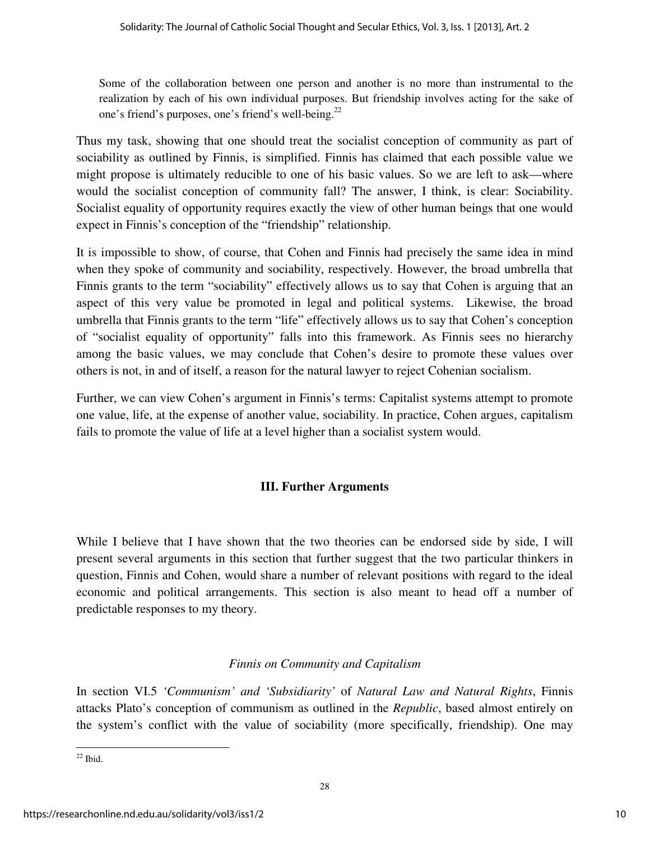Some of the collaboration between one person and another is no more than instrumental to the realization by each of his own individual purposes. But friendship involves acting for the sake of one's friend's purposes, one's friend's well-being.<sup>22</sup>

Thus my task, showing that one should treat the socialist conception of community as part of sociability as outlined by Finnis, is simplified. Finnis has claimed that each possible value we might propose is ultimately reducible to one of his basic values. So we are left to ask—where would the socialist conception of community fall? The answer, I think, is clear: Sociability. Socialist equality of opportunity requires exactly the view of other human beings that one would expect in Finnis's conception of the "friendship" relationship.

It is impossible to show, of course, that Cohen and Finnis had precisely the same idea in mind when they spoke of community and sociability, respectively. However, the broad umbrella that Finnis grants to the term "sociability" effectively allows us to say that Cohen is arguing that an aspect of this very value be promoted in legal and political systems. Likewise, the broad umbrella that Finnis grants to the term "life" effectively allows us to say that Cohen's conception of "socialist equality of opportunity" falls into this framework. As Finnis sees no hierarchy among the basic values, we may conclude that Cohen's desire to promote these values over others is not, in and of itself, a reason for the natural lawyer to reject Cohenian socialism.

Further, we can view Cohen's argument in Finnis's terms: Capitalist systems attempt to promote one value, life, at the expense of another value, sociability. In practice, Cohen argues, capitalism fails to promote the value of life at a level higher than a socialist system would.

# **III. Further Arguments**

While I believe that I have shown that the two theories can be endorsed side by side, I will present several arguments in this section that further suggest that the two particular thinkers in question, Finnis and Cohen, would share a number of relevant positions with regard to the ideal economic and political arrangements. This section is also meant to head off a number of predictable responses to my theory.

# *Finnis on Community and Capitalism*

In section VI.5 *'Communism' and 'Subsidiarity'* of *Natural Law and Natural Rights*, Finnis attacks Plato's conception of communism as outlined in the *Republic*, based almost entirely on the system's conflict with the value of sociability (more specifically, friendship). One may

 $22$  Ibid.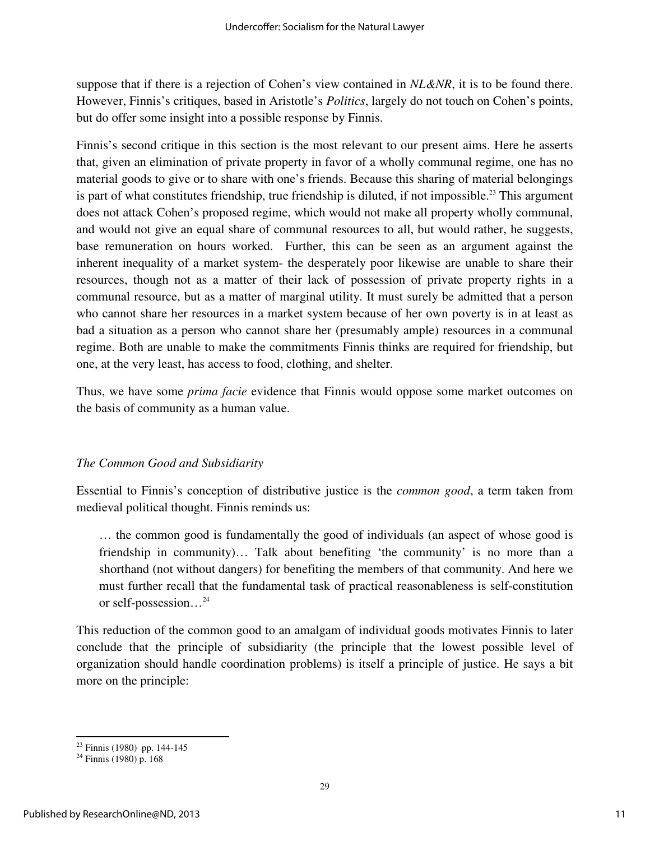suppose that if there is a rejection of Cohen's view contained in *NL&NR*, it is to be found there. However, Finnis's critiques, based in Aristotle's *Politics*, largely do not touch on Cohen's points, but do offer some insight into a possible response by Finnis.

Finnis's second critique in this section is the most relevant to our present aims. Here he asserts that, given an elimination of private property in favor of a wholly communal regime, one has no material goods to give or to share with one's friends. Because this sharing of material belongings is part of what constitutes friendship, true friendship is diluted, if not impossible.<sup>23</sup> This argument does not attack Cohen's proposed regime, which would not make all property wholly communal, and would not give an equal share of communal resources to all, but would rather, he suggests, base remuneration on hours worked. Further, this can be seen as an argument against the inherent inequality of a market system- the desperately poor likewise are unable to share their resources, though not as a matter of their lack of possession of private property rights in a communal resource, but as a matter of marginal utility. It must surely be admitted that a person who cannot share her resources in a market system because of her own poverty is in at least as bad a situation as a person who cannot share her (presumably ample) resources in a communal regime. Both are unable to make the commitments Finnis thinks are required for friendship, but one, at the very least, has access to food, clothing, and shelter.

Thus, we have some *prima facie* evidence that Finnis would oppose some market outcomes on the basis of community as a human value.

#### *The Common Good and Subsidiarity*

Essential to Finnis's conception of distributive justice is the *common good*, a term taken from medieval political thought. Finnis reminds us:

… the common good is fundamentally the good of individuals (an aspect of whose good is friendship in community)… Talk about benefiting 'the community' is no more than a shorthand (not without dangers) for benefiting the members of that community. And here we must further recall that the fundamental task of practical reasonableness is self-constitution or self-possession…<sup>24</sup>

This reduction of the common good to an amalgam of individual goods motivates Finnis to later conclude that the principle of subsidiarity (the principle that the lowest possible level of organization should handle coordination problems) is itself a principle of justice. He says a bit more on the principle:

<sup>23</sup> Finnis (1980) pp. 144-145

 $24$  Finnis (1980) p. 168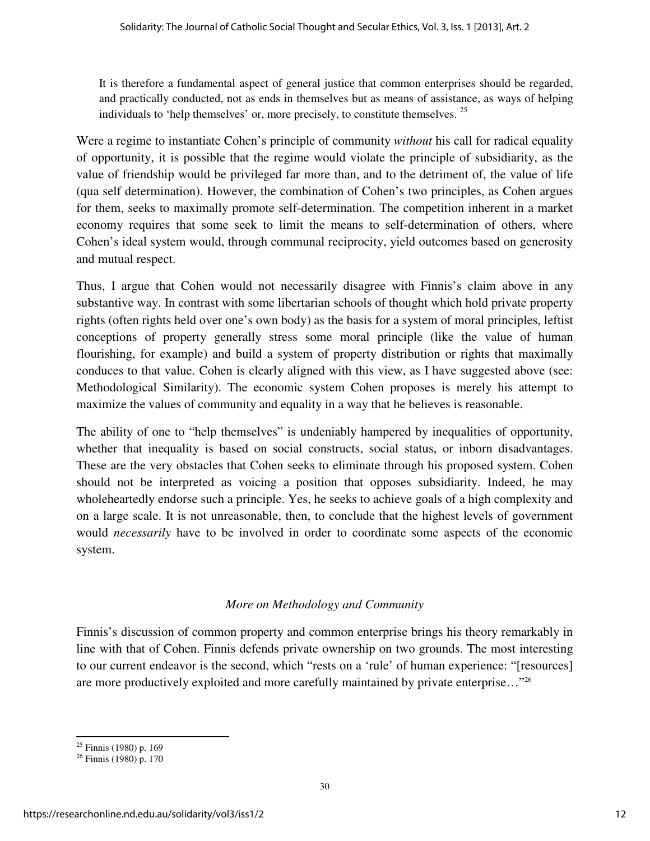It is therefore a fundamental aspect of general justice that common enterprises should be regarded, and practically conducted, not as ends in themselves but as means of assistance, as ways of helping individuals to 'help themselves' or, more precisely, to constitute themselves. <sup>25</sup>

Were a regime to instantiate Cohen's principle of community *without* his call for radical equality of opportunity, it is possible that the regime would violate the principle of subsidiarity, as the value of friendship would be privileged far more than, and to the detriment of, the value of life (qua self determination). However, the combination of Cohen's two principles, as Cohen argues for them, seeks to maximally promote self-determination. The competition inherent in a market economy requires that some seek to limit the means to self-determination of others, where Cohen's ideal system would, through communal reciprocity, yield outcomes based on generosity and mutual respect.

Thus, I argue that Cohen would not necessarily disagree with Finnis's claim above in any substantive way. In contrast with some libertarian schools of thought which hold private property rights (often rights held over one's own body) as the basis for a system of moral principles, leftist conceptions of property generally stress some moral principle (like the value of human flourishing, for example) and build a system of property distribution or rights that maximally conduces to that value. Cohen is clearly aligned with this view, as I have suggested above (see: Methodological Similarity). The economic system Cohen proposes is merely his attempt to maximize the values of community and equality in a way that he believes is reasonable.

The ability of one to "help themselves" is undeniably hampered by inequalities of opportunity, whether that inequality is based on social constructs, social status, or inborn disadvantages. These are the very obstacles that Cohen seeks to eliminate through his proposed system. Cohen should not be interpreted as voicing a position that opposes subsidiarity. Indeed, he may wholeheartedly endorse such a principle. Yes, he seeks to achieve goals of a high complexity and on a large scale. It is not unreasonable, then, to conclude that the highest levels of government would *necessarily* have to be involved in order to coordinate some aspects of the economic system.

# *More on Methodology and Community*

Finnis's discussion of common property and common enterprise brings his theory remarkably in line with that of Cohen. Finnis defends private ownership on two grounds. The most interesting to our current endeavor is the second, which "rests on a 'rule' of human experience: "[resources] are more productively exploited and more carefully maintained by private enterprise..."<sup>26</sup>

l

 $25$  Finnis (1980) p. 169

 $26$  Finnis (1980) p. 170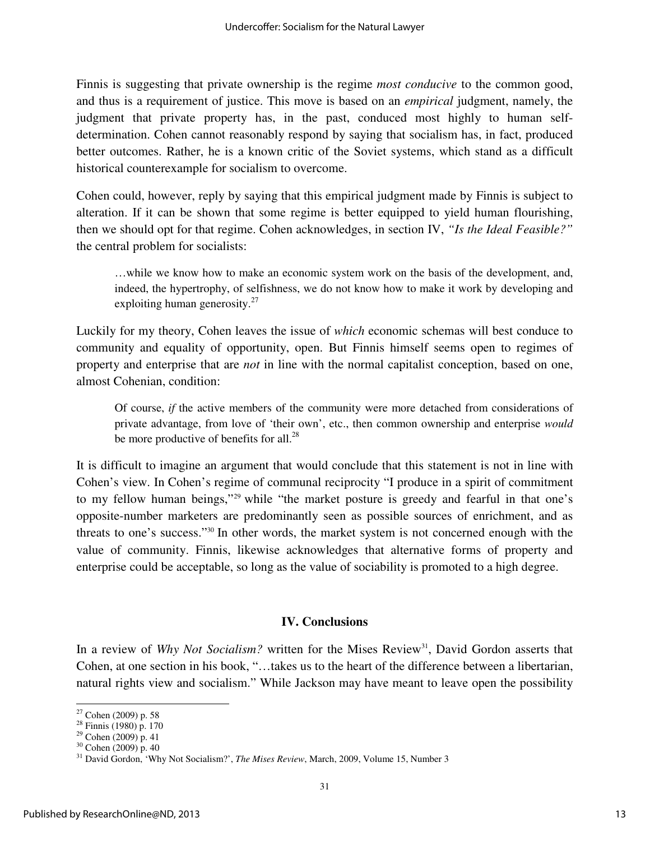Finnis is suggesting that private ownership is the regime *most conducive* to the common good, and thus is a requirement of justice. This move is based on an *empirical* judgment, namely, the judgment that private property has, in the past, conduced most highly to human selfdetermination. Cohen cannot reasonably respond by saying that socialism has, in fact, produced better outcomes. Rather, he is a known critic of the Soviet systems, which stand as a difficult historical counterexample for socialism to overcome.

Cohen could, however, reply by saying that this empirical judgment made by Finnis is subject to alteration. If it can be shown that some regime is better equipped to yield human flourishing, then we should opt for that regime. Cohen acknowledges, in section IV, *"Is the Ideal Feasible?"* the central problem for socialists:

…while we know how to make an economic system work on the basis of the development, and, indeed, the hypertrophy, of selfishness, we do not know how to make it work by developing and exploiting human generosity. $27$ 

Luckily for my theory, Cohen leaves the issue of *which* economic schemas will best conduce to community and equality of opportunity, open. But Finnis himself seems open to regimes of property and enterprise that are *not* in line with the normal capitalist conception, based on one, almost Cohenian, condition:

Of course, *if* the active members of the community were more detached from considerations of private advantage, from love of 'their own', etc., then common ownership and enterprise *would* be more productive of benefits for all.<sup>28</sup>

It is difficult to imagine an argument that would conclude that this statement is not in line with Cohen's view. In Cohen's regime of communal reciprocity "I produce in a spirit of commitment to my fellow human beings,"<sup>29</sup> while "the market posture is greedy and fearful in that one's opposite-number marketers are predominantly seen as possible sources of enrichment, and as threats to one's success."<sup>30</sup> In other words, the market system is not concerned enough with the value of community. Finnis, likewise acknowledges that alternative forms of property and enterprise could be acceptable, so long as the value of sociability is promoted to a high degree.

#### **IV. Conclusions**

In a review of *Why Not Socialism?* written for the Mises Review<sup>31</sup>, David Gordon asserts that Cohen, at one section in his book, "…takes us to the heart of the difference between a libertarian, natural rights view and socialism." While Jackson may have meant to leave open the possibility

<sup>27</sup> Cohen (2009) p. 58

 $28$  Finnis (1980) p. 170

 $29$  Cohen (2009) p. 41

 $30$  Cohen (2009) p. 40

<sup>&</sup>lt;sup>31</sup> David Gordon, 'Why Not Socialism?', *The Mises Review*, March, 2009, Volume 15, Number 3